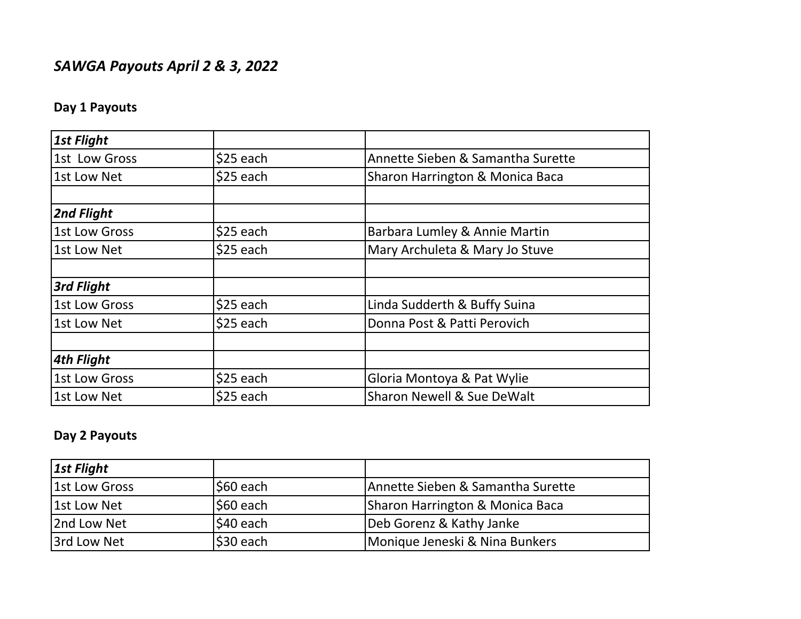## *SAWGA Payouts April 2 & 3, 2022*

## **Day 1 Payouts**

| <b>1st Flight</b>    |           |                                       |
|----------------------|-----------|---------------------------------------|
| 1st Low Gross        | \$25 each | Annette Sieben & Samantha Surette     |
| 1st Low Net          | \$25 each | Sharon Harrington & Monica Baca       |
|                      |           |                                       |
| 2nd Flight           |           |                                       |
| 1st Low Gross        | \$25 each | Barbara Lumley & Annie Martin         |
| 1st Low Net          | \$25 each | Mary Archuleta & Mary Jo Stuve        |
|                      |           |                                       |
| 3rd Flight           |           |                                       |
| <b>1st Low Gross</b> | \$25 each | Linda Sudderth & Buffy Suina          |
| 1st Low Net          | \$25 each | Donna Post & Patti Perovich           |
|                      |           |                                       |
| <b>4th Flight</b>    |           |                                       |
| 1st Low Gross        | \$25 each | Gloria Montoya & Pat Wylie            |
| 1st Low Net          | \$25 each | <b>Sharon Newell &amp; Sue DeWalt</b> |

## **Day 2 Payouts**

| <b>1st Flight</b> |             |                                   |
|-------------------|-------------|-----------------------------------|
| 1st Low Gross     | S60 each    | Annette Sieben & Samantha Surette |
| 1st Low Net       | $ $60$ each | Sharon Harrington & Monica Baca   |
| 2nd Low Net       | \$40 each   | Deb Gorenz & Kathy Janke          |
| 3rd Low Net       | $$30$ each  | Monique Jeneski & Nina Bunkers    |